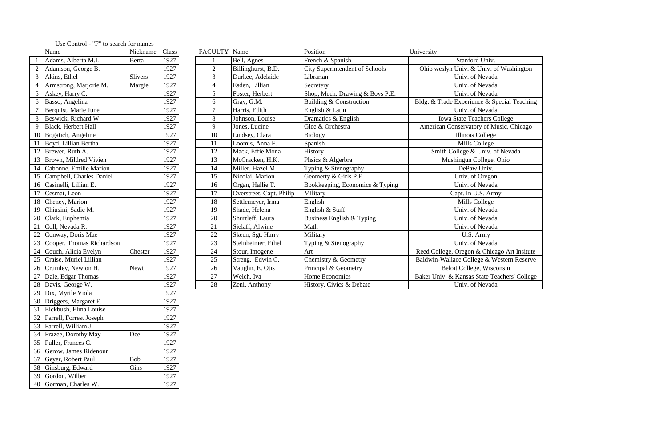|    | Name                         | Nickname       | Class | FACULTY Name    |                          | Position                              | University                                   |
|----|------------------------------|----------------|-------|-----------------|--------------------------|---------------------------------------|----------------------------------------------|
|    | Adams, Alberta M.L.          | Berta          | 1927  |                 | Bell, Agnes              | French & Spanish                      | Stanford Univ.                               |
|    | Adamson, George B.           |                | 1927  | $\overline{2}$  | Billinghurst, B.D.       | <b>City Superintendent of Schools</b> | Ohio weslyn Univ. & Univ. of Washington      |
|    | Akins, Ethel                 | <b>Slivers</b> | 1927  | $\overline{3}$  | Durkee, Adelaide         | Librarian                             | Univ. of Nevada                              |
|    | Armstrong, Marjorie M.       | Margie         | 1927  | $\overline{4}$  | Esden, Lillian           | Secretery                             | Univ. of Nevada                              |
|    | Askey, Harry C.              |                | 1927  | $5\overline{)}$ | Foster, Herbert          | Shop, Mech. Drawing & Boys P.E.       | Univ. of Nevada                              |
| 6  | Basso, Angelina              |                | 1927  | 6               | Gray, G.M.               | Building & Construction               | Bldg. & Trade Experience & Special Teaching  |
|    | Berquist, Marie June         |                | 1927  | $\overline{7}$  | Harris, Edith            | English & Latin                       | Univ. of Nevada                              |
|    | Beswick, Richard W.          |                | 1927  | 8               | Johnson, Louise          | Dramatics & English                   | <b>Iowa State Teachers College</b>           |
|    | Black, Herbert Hall          |                | 1927  | 9               | Jones, Lucine            | Glee & Orchestra                      | American Conservatory of Music, Chicago      |
|    | 10 Bogatich, Angeline        |                | 1927  | 10              | Lindsey, Clara           | Biology                               | Illinois College                             |
|    | 11 Boyd, Lillian Bertha      |                | 1927  | 11              | Loomis, Anna F.          | Spanish                               | Mills College                                |
|    | 12 Brewer, Ruth A.           |                | 1927  | 12              | Mack, Effie Mona         | History                               | Smith College & Univ. of Nevada              |
|    | 13 Brown, Mildred Vivien     |                | 1927  | 13              | McCracken, H.K.          | Phsics & Algerbra                     | Mushingun College, Ohio                      |
|    | 14 Cabonne, Emilie Marion    |                | 1927  | 14              | Miller, Hazel M.         | Typing & Stenography                  | DePaw Univ.                                  |
|    | 15 Campbell, Charles Daniel  |                | 1927  | 15              | Nicolai, Marion          | Geomerty & Girls P.E.                 | Univ. of Oregon                              |
|    | 16 Casinelli, Lillian E.     |                | 1927  | 16              | Organ, Hallie T.         | Bookkeeping, Economics & Typing       | Univ. of Nevada                              |
|    | 17 Cesmat, Leon              |                | 1927  | 17              | Overstreet, Capt. Philip | Military                              | Capt. In U.S. Army                           |
|    | 18 Cheney, Marion            |                | 1927  | 18              | Settlemeyer, Irma        | English                               | Mills College                                |
|    | 19 Chiusini, Sadie M.        |                | 1927  | 19              | Shade, Helena            | English & Staff                       | Univ. of Nevada                              |
|    | 20 Clark, Euphemia           |                | 1927  | 20              | Shurtleff, Laura         | Business English & Typing             | Univ. of Nevada                              |
| 21 | Coll, Nevada R.              |                | 1927  | 21              | Sielaff, Alwine          | Math                                  | Univ. of Nevada                              |
| 22 | Conway, Doris Mae            |                | 1927  | 22              | Skeen, Sgt. Harry        | Military                              | U.S. Army                                    |
|    | 23 Cooper, Thomas Richardson |                | 1927  | 23              | Steinheimer, Ethel       | Typing & Stenography                  | Univ. of Nevada                              |
|    | 24 Couch, Alicia Evelyn      | Chester        | 1927  | 24              | Stour, Imogene           | Art                                   | Reed College, Oregon & Chicago Art Insitute  |
|    | 25 Craise, Muriel Lillian    |                | 1927  | 25              | Streng, Edwin C.         | Chemistry & Geometry                  | Baldwin-Wallace College & Western Reserve    |
|    | 26 Crumley, Newton H.        | <b>Newt</b>    | 1927  | 26              | Vaughn, E. Otis          | Principal & Geometry                  | Beloit College, Wisconsin                    |
| 27 | Dale, Edgar Thomas           |                | 1927  | 27              | Welch, Iva               | Home Economics                        | Baker Univ. & Kansas State Teachers' College |
|    | 28 Davis, George W.          |                | 1927  | 28              | Zeni, Anthony            | History, Civics & Debate              | Univ. of Nevada                              |

|                | Name                      | Nickname       | Class |
|----------------|---------------------------|----------------|-------|
| $\mathbf{1}$   | Adams, Alberta M.L.       | <b>Berta</b>   | 1927  |
| $\overline{2}$ | Adamson, George B.        |                | 1927  |
| $\overline{3}$ | Akins, Ethel              | <b>Slivers</b> | 1927  |
| $\overline{4}$ | Armstrong, Marjorie M.    | Margie         | 1927  |
| 5              | Askey, Harry C.           |                | 1927  |
| 6              | Basso, Angelina           |                | 1927  |
| 7              | Berquist, Marie June      |                | 1927  |
| 8              | Beswick, Richard W.       |                | 1927  |
| 9              | Black, Herbert Hall       |                | 1927  |
| 10             | Bogatich, Angeline        |                | 1927  |
| 11             | Boyd, Lillian Bertha      |                | 1927  |
| 12             | Brewer, Ruth A.           |                | 1927  |
| 13             | Brown, Mildred Vivien     |                | 1927  |
| 14             | Cabonne, Emilie Marion    |                | 1927  |
| 15             | Campbell, Charles Daniel  |                | 1927  |
| 16             | Casinelli, Lillian E.     |                | 1927  |
| 17             | Cesmat, Leon              |                | 1927  |
| 18             | Cheney, Marion            |                | 1927  |
| 19             | Chiusini, Sadie M.        |                | 1927  |
| 20             | Clark, Euphemia           |                | 1927  |
| 21             | Coll, Nevada R.           |                | 1927  |
| $22\,$         | Conway, Doris Mae         |                | 1927  |
| 23             | Cooper, Thomas Richardson |                | 1927  |
| 24             | Couch, Alicia Evelyn      | Chester        | 1927  |
| 25             | Craise, Muriel Lillian    |                | 1927  |
| 26             | Crumley, Newton H.        | <b>Newt</b>    | 1927  |
| 27             | Dale, Edgar Thomas        |                | 1927  |
| 28             | Davis, George W.          |                | 1927  |
| 29             | Dix, Myrtle Viola         |                | 1927  |
| 30             | Driggers, Margaret E.     |                | 1927  |
| 31             | Eickbush, Elma Louise     |                | 1927  |
| 32             | Farrell, Forrest Joseph   |                | 1927  |
| 33             | Farrell, William J.       |                | 1927  |
| 34             | Frazee, Dorothy May       | Dee            | 1927  |
| 35             | Fuller, Frances C.        |                | 1927  |
| 36             | Gerow, James Ridenour     |                | 1927  |
| 37             | Geyer, Robert Paul        | Bob            | 1927  |
| 38             | Ginsburg, Edward          | Gins           | 1927  |
| 39             | Gordon, Wilber            |                | 1927  |
| 40             | Gorman, Charles W.        |                | 1927  |

## Use Control - "F" to search for names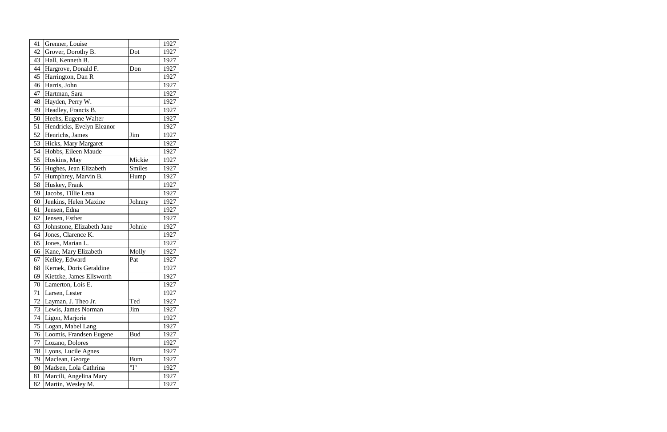| 41 | Grenner, Louise           |               | 1927 |
|----|---------------------------|---------------|------|
| 42 | Grover, Dorothy B.        | Dot           | 1927 |
| 43 | Hall, Kenneth B.          |               | 1927 |
| 44 | Hargrove, Donald F.       | Don           | 1927 |
| 45 | Harrington, Dan R         |               | 1927 |
| 46 | Harris, John              |               | 1927 |
| 47 | Hartman, Sara             |               | 1927 |
| 48 | Hayden, Perry W.          |               | 1927 |
| 49 | Headley, Francis B.       |               | 1927 |
| 50 | Heehs, Eugene Walter      |               | 1927 |
| 51 | Hendricks, Evelyn Eleanor |               | 1927 |
| 52 | Henrichs, James           | Jim           | 1927 |
| 53 | Hicks, Mary Margaret      |               | 1927 |
| 54 | Hobbs, Eileen Maude       |               | 1927 |
| 55 | Hoskins, May              | Mickie        | 1927 |
| 56 | Hughes, Jean Elizabeth    | <b>Smiles</b> | 1927 |
| 57 | Humphrey, Marvin B.       | Hump          | 1927 |
| 58 | Huskey, Frank             |               | 1927 |
| 59 | Jacobs, Tillie Lena       |               | 1927 |
| 60 | Jenkins, Helen Maxine     | Johnny        | 1927 |
| 61 | Jensen, Edna              |               | 1927 |
| 62 | Jensen, Esther            |               | 1927 |
| 63 | Johnstone, Elizabeth Jane | Johnie        | 1927 |
| 64 | Jones, Clarence K.        |               | 1927 |
| 65 | Jones, Marian L.          |               | 1927 |
| 66 | Kane, Mary Elizabeth      | Molly         | 1927 |
| 67 | Kelley, Edward            | Pat           | 1927 |
| 68 | Kernek, Doris Geraldine   |               | 1927 |
| 69 | Kietzke, James Ellsworth  |               | 1927 |
| 70 | Lamerton, Lois E.         |               | 1927 |
| 71 | Larsen, Lester            |               | 1927 |
| 72 | Layman, J. Theo Jr.       | Ted           | 1927 |
| 73 | Lewis, James Norman       | Jim           | 1927 |
| 74 | Ligon, Marjorie           |               | 1927 |
| 75 | Logan, Mabel Lang         |               | 1927 |
| 76 | Loomis, Frandsen Eugene   | Bud           | 1927 |
| 77 | Lozano, Dolores           |               | 1927 |
| 78 | Lyons, Lucile Agnes       |               | 1927 |
| 79 | Maclean, George           | <b>Bum</b>    | 1927 |
| 80 | Madsen, Lola Cathrina     | "I"           | 1927 |
| 81 | Marcili, Angelina Mary    |               | 1927 |
| 82 | Martin, Wesley M.         |               | 1927 |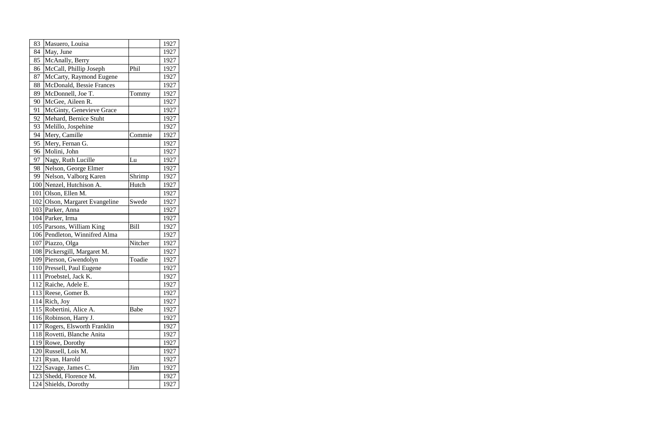| 83  | Masuero, Louisa                |         | 1927 |
|-----|--------------------------------|---------|------|
| 84  | May, June                      |         | 1927 |
| 85  | McAnally, Berry                |         | 1927 |
| 86  | McCall, Phillip Joseph         | Phil    | 1927 |
| 87  | McCarty, Raymond Eugene        |         | 1927 |
| 88  | McDonald, Bessie Frances       |         | 1927 |
| 89  | McDonnell, Joe T.              | Tommy   | 1927 |
| 90  | McGee, Aileen R.               |         | 1927 |
| 91  | McGinty, Genevieve Grace       |         | 1927 |
| 92  | Mehard, Bernice Stuht          |         | 1927 |
| 93  | Melillo, Jospehine             |         | 1927 |
| 94  | Mery, Camille                  | Commie  | 1927 |
| 95  | Mery, Fernan G.                |         | 1927 |
| 96  | Molini, John                   |         | 1927 |
| 97  | Nagy, Ruth Lucille             | Lu      | 1927 |
| 98  | Nelson, George Elmer           |         | 1927 |
| 99  | Nelson, Valborg Karen          | Shrimp  | 1927 |
| 100 | Nenzel, Hutchison A.           | Hutch   | 1927 |
| 101 | Olson, Ellen M.                |         | 1927 |
| 102 | Olson, Margaret Evangeline     | Swede   | 1927 |
| 103 | Parker, Anna                   |         | 1927 |
|     | 104 Parker, Irma               |         | 1927 |
|     | 105 Parsons, William King      | Bill    | 1927 |
|     | 106 Pendleton, Winnifred Alma  |         | 1927 |
| 107 | Piazzo, Olga                   | Nitcher | 1927 |
|     | 108   Pickersgill, Margaret M. |         | 1927 |
|     | 109 Pierson, Gwendolyn         | Toadie  | 1927 |
|     | 110 Pressell, Paul Eugene      |         | 1927 |
|     | 111 Proebstel, Jack K.         |         | 1927 |
|     | 112 Raiche, Adele E.           |         | 1927 |
|     | 113 Reese, Gomer B.            |         | 1927 |
|     | $114$ Rich, Joy                |         | 1927 |
|     | 115 Robertini, Alice A.        | Babe    | 1927 |
| 116 | Robinson, Harry J.             |         | 1927 |
| 117 | Rogers, Elsworth Franklin      |         | 1927 |
|     | 118 Rovetti, Blanche Anita     |         | 1927 |
|     | 119 Rowe, Dorothy              |         | 1927 |
|     | 120 Russell, Lois M.           |         | 1927 |
| 121 | Ryan, Harold                   |         | 1927 |
| 122 | Savage, James C.               | Jim     | 1927 |
| 123 | Shedd, Florence M.             |         | 1927 |
| 124 | Shields, Dorothy               |         | 1927 |